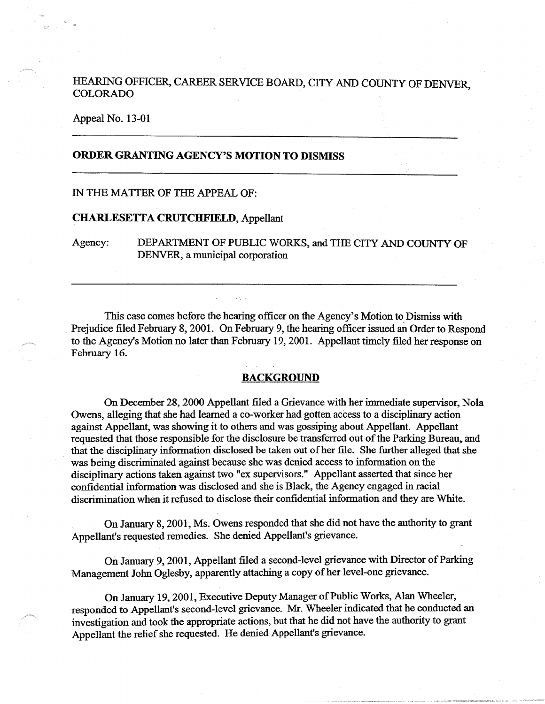# HEARING OFFICER, CAREER SERVICE BOARD, CITY AND COUNTY OF DENVER, COLORADO

Appeal No. 13-01

# **ORDER GRANTING AGENCY'S MOTION TO DISMISS**

## IN THE MATTER OF THE APPEAL OF:

### **CHARLESETTA CRUTCHFIELD,** Appellant

Agency: DEPARTMENT OF PUBLIC WORKS, and THE CITY AND COUNTY OF DENVER, a municipal corporation

This case comes before the hearing officer on the Agency's Motion to Dismiss with Prejudice filed February 8, 2001. On February 9, the hearing officer issued an Order to Respond to the Agency's Motion no later than February 19, 2001. Appellant timely filed her response on February 16.

### **BACKGROUND**

On December 28, 2000 Appellant filed a Grievance with her immediate supervisor, Nola Owens, alleging that she had learned a co-worker had gotten access to a disciplinary action against Appellant, was showing it to others and was gossiping about Appellant. Appellant requested that those responsible for the disclosure be transferred out of the Parking Bureau,. and that the disciplinary information disclosed be taken out of her file. She further alleged that she was being discriminated against because she was denied access to information on the disciplinary actions taken against two "ex supervisors." Appellant asserted that since her confidential information was disclosed and she is Black, the Agency engaged in racial discrimination when it refused to disclose their confidential information and they are White.

On January 8, 2001, Ms. Owens responded that she did not have the authority to grant Appellant's requested remedies. She denied Appellant's grievance.

On January 9, 2001, Appellant filed a second-level grievance with Director of Parking Management John Oglesby, apparently attaching a copy of her level-one grievance.

On January 19, 2001, Executive Deputy Manager of Public Works, Alan Wheeler, responded to Appellant's second-level grievance. Mr. Wheeler indicated that he conducted an investigation and took the appropriate actions, but that he did not have the authority to grant Appellant the relief she requested. He denied Appellant's grievance.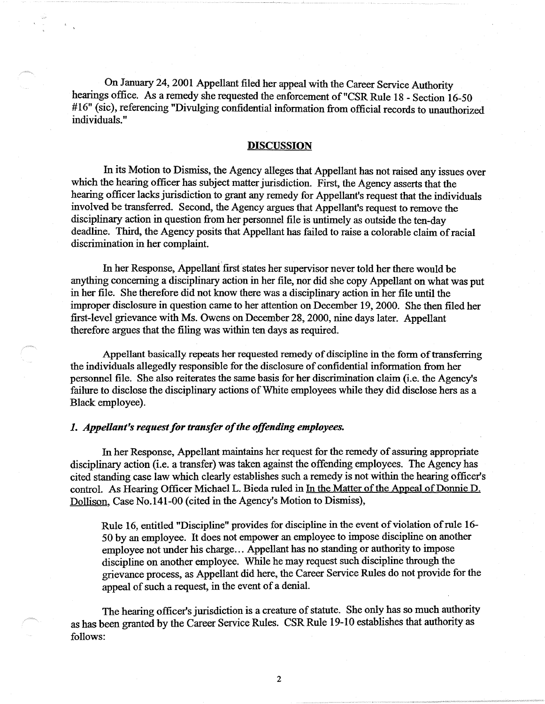On January 24, 2001 Appellant filed her appeal with the Career Service Authority hearings office. As a remedy she requested the enforcement of "CSR Rule 18 - Section 16-50 #16" (sic), referencing "Divulging confidential information from official records to unauthorized individuals."

#### **DISCUSSION**

In its Motion to Dismiss, the Agency alleges that Appellant has not raised any issues over which the hearing officer has subject matter jurisdiction. First, the Agency asserts that the hearing officer lacks jurisdiction to grant any remedy for Appellant's request that the individuals involved be transferred. Second, the Agency argues that Appellant's request to remove the disciplinary action in question from her personnel file is untimely as outside the ten-day deadline. Third, the Agency posits that Appellant has failed to raise a colorable claim of racial discrimination in her complaint.

In her Response, Appellant first states her supervisor never told her there would be anything concerning a disciplinary action in her file, nor did she copy Appellant on what was put in her file. She therefore did not know there was a disciplinary action in her file until the improper disclosure in question came to her attention on December 19, 2000. She then filed her first-level grievance with Ms. Owens on December 28, 2000, nine days later. Appellant therefore argues that the filing was within ten-days as required.

Appellant basically repeats her requested remedy of discipline in the form of transferring the individuals allegedly responsible for the disclosure of confidential information from her personnel file. She also reiterates the same basis for her discrimination claim (i.e. the Agency's failure to disclose the disciplinary actions of White employees while they did disclose hers as a Black employee).

## *1. Appellant's request for transfer of the offending employees.*

In her Response, Appellant maintains her request for the remedy of assuring appropriate disciplinary action (i.e. a transfer) was taken against the offending employees. The Agency has cited standing case law which clearly establishes such a remedy is not within the hearing officer's control. As Hearing Officer Michael L. Bieda ruled in In the Matter of the Appeal of Donnie D. Dollison, Case No.141-00 (cited in the Agency's Motion to Dismiss),

Rule 16, entitled "Discipline" provides for discipline in the event of violation of rule 16- 50 by an employee. It does not empower an employee to impose discipline on another employee not under his charge... Appellant has no standing or authority to impose discipline on another employee. While he may request such discipline through the grievance process, as Appellant did here, the Career Service Rules do not provide for the appeal of such a request, in the event of a denial.

The hearing officer's jurisdiction is a creature of statute. She only has so much authority as has been granted by the Career Service Rules. CSR Rule 19-10 establishes that authority as follows:

2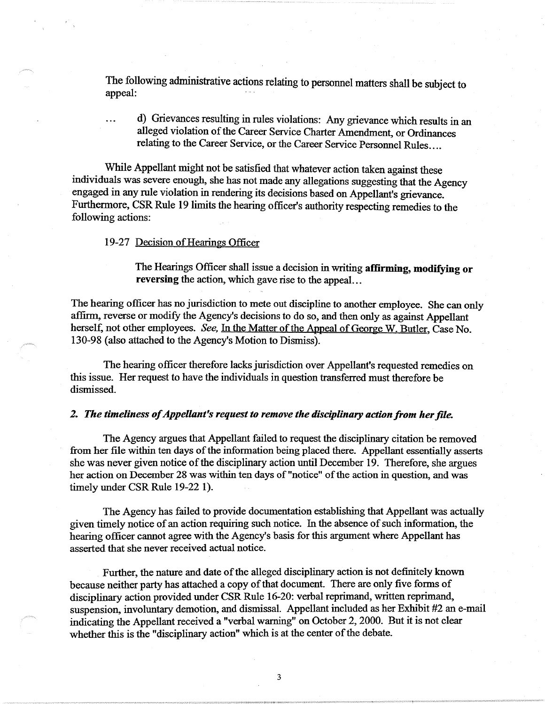The following administrative actions relating to personnel matters shall be subject to appeal: *appeal*: *appeal*: *appeal***: <b>***appeal*: *appeal***:** 

d) Grievances resulting in rules violations: Any grievance which results in an alleged violation of the Career Service Charter Amendment, or Ordinances relating to the Career Service, or the Career Service Personnel Rules ....

While Appellant might not be satisfied that whatever action taken against these individuals was severe enough, she has not made any allegations suggesting that the Agency engaged in any rule violation in rendering its decisions based on Appellant's grievance. Furthermore, CSR Rule 19 limits the hearing officer's authority respecting remedies to the following actions:

### 19-27 Decision of Hearings Officer

The Hearings Officer shall issue a decision in writing **affirming, modifying or reversing** the action, which gave rise to the appeal. ..

The hearing officer has no jurisdiction to mete out discipline to another employee. She can only affirm, reverse or modify the Agency's decisions to do so, and then only as against Appellant herself, not other employees. *See,* In the Matter of the Appeal of George W. Butler, Case No. 130-98 (also attached to the Agency's Motion to Dismiss).

The hearing officer therefore lacks jurisdiction over Appellant's requested remedies on this issue. Her request to have the individuals in question transferred must therefore be dismissed.

#### **2.** *The timeliness of Appellant's request to remove the disciplinary action from her file.*

The Agency argues that Appellant failed to request the disciplinary citation be removed from her file within ten days of the information being placed there. Appellant essentially asserts she was never given notice of the disciplinary action until December 19. Therefore, she argues her action on December 28 was within ten days of "notice" of the action in question, and was timely under CSR Rule 19-22 1).

The Agency has failed to provide documentation establishing that Appellant was actually given timely notice of an action requiring such notice. In the absence of such information, the hearing officer cannot agree with the Agency's basis for this argument where Appellant has asserted that she never received actual notice.

Further, the nature and date of the alleged disciplinary action is not definitely known because neither party has attached a copy of that document. There are only five forms of disciplinary action provided under CSR Rule 16-20: verbal reprimand, written reprimand, suspension, involuntary demotion, and dismissal. Appellant included as her Exhibit #2 an e-mail indicating the Appellant received a "verbal warning" on October 2, 2000. But it is not clear whether this is the "disciplinary action" which is at the center of the debate.

3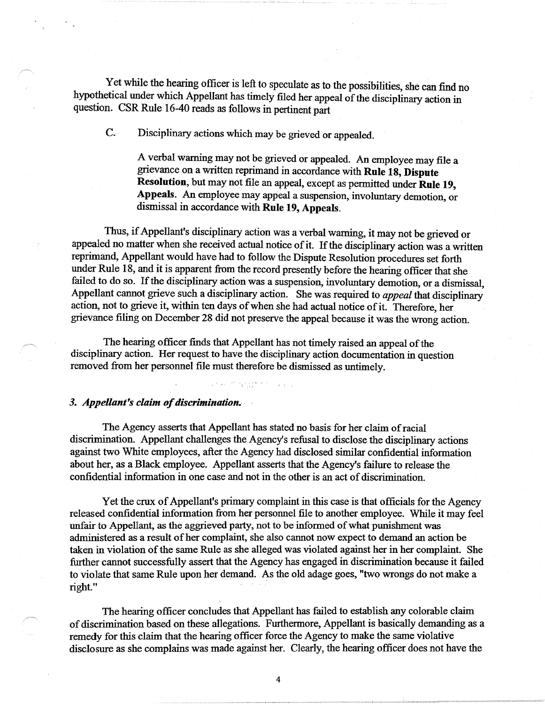Yet while the hearing officer is left to speculate as to the possibilities, she can find no hypothetical under which Appellant has timely filed her appeal of the disciplinary action in question. CSR Rule 16-40 reads as follows in pertinent part

C. Disciplinary actions which may be grieved or appealed.

A verbal warning may not be grieved or appealed. An employee may file a grievance on a written reprimand in accordance with **Rule 18, Dispute Resolution,** but may not file an appeal, except as permitted under **Rule 19, Appeals.** An employee may appeal a suspension, involuntary demotion, or dismissal in accordance with **Rule 19, Appeals.** 

Thus, if Appellant's disciplinary action was a verbal warning, it may not be grieved or appealed no matter when she received actual notice of it. If the disciplinary action was a written reprimand, Appellant would have had to follow the Dispute Resolution procedures set forth under Rule 18, and it is apparent from the record presently before the hearing officer that she failed to do so. If the disciplinary action was a suspension, involuntary demotion, or a dismissal, Appellant cannot grieve such a disciplinary action. She was required to *appeal* that disciplinary action, not to grieve it, within ten days of when she had actual notice of it. Therefore, her grievance filing on December 28 did not preserve the appeal because it was the wrong action.

The hearing officer finds that Appellant has not timely raised an appeal of the disciplinary action. Her request to have the disciplinary action documentation in question removed from her personnel file must therefore be dismissed as untimely.

#### *3. Appellant's claim of discrimination.* ·

The Agency asserts that Appellant has stated no basis for her claim of racial discrimination. Appellant challenges the Agency's refusal to disclose the disciplinary actions against two White employees, after the Agency had disclosed similar confidential information about her, as a Black employee. Appellant asserts that the Agency's failure to release the confidential information in one case and not in the other is an act of discrimination.

Yet the crux of Appellant's primary complaint in this case is that officials for the Agency released confidential information from her personnel file to another employee. While it may feel unfair to Appellant, as the aggrieved party, not to be informed of what punishment was administered as a result of her complaint, she also cannot now expect to demand an action be taken in violation of the same Rule as she alleged was violated against her in her complaint. She further cannot successfully assert that the Agency has engaged in discrimination because it failed to violate that same Rule upon her demand. As the old adage goes, "two wrongs do not make a right."

The hearing officer concludes that Appellant has failed to establish any colorable claim of discrimination based on these allegations. Furthermore, Appellant is basically demanding as a remedy for this claim that the hearing officer force the Agency to make the same violative disclosure as she complains was made against her. Clearly, the hearing officer does not have the

4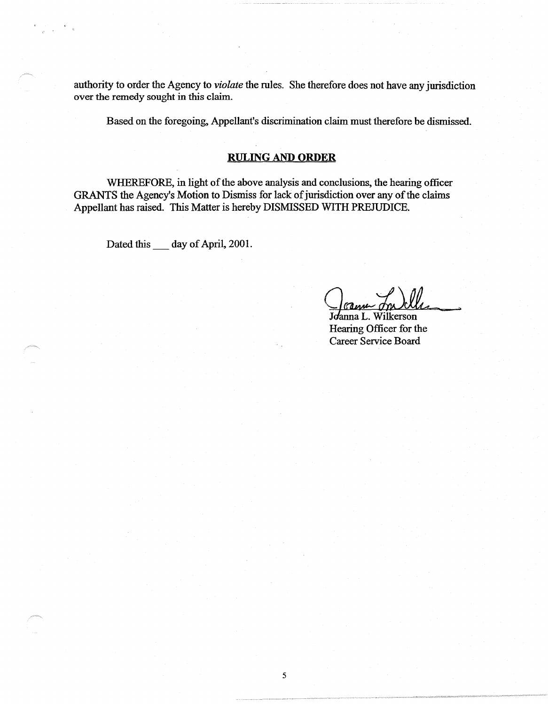authority to order the Agency to *violate* the rules. She therefore does not have any jurisdiction over the remedy sought in this claim.

Based on the foregoing, Appellant's discrimination claim must therefore be dismissed.

# **RULING AND ORDER**

WHEREFORE, in light of the above analysis and conclusions, the hearing officer GRANTS the Agency's Motion to Dismiss for lack of jurisdiction over any of the claims Appellant has raised. This Matter is hereby DISMISSED WITH PREJUDICE.

Dated this \_\_\_ day of April, 2001.

;,

Johnna L. Wilkerson<br>Hearing Officer for the Career Service Board